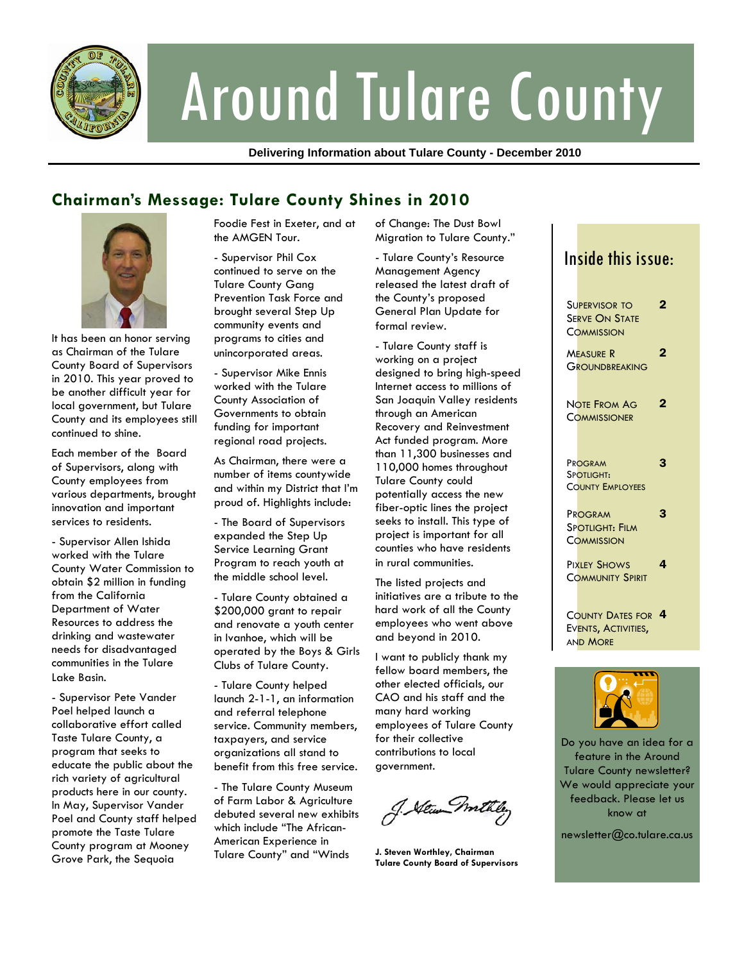

# Around Tulare County

**Delivering Information about Tulare County - December 2010** 

## **Chairman's Message: Tulare County Shines in 2010**



It has been an honor serving as Chairman of the Tulare County Board of Supervisors in 2010. This year proved to be another difficult year for local government, but Tulare County and its employees still continued to shine.

Each member of the Board of Supervisors, along with County employees from various departments, brought innovation and important services to residents.

- Supervisor Allen Ishida worked with the Tulare County Water Commission to obtain \$2 million in funding from the California Department of Water Resources to address the drinking and wastewater needs for disadvantaged communities in the Tulare Lake Basin.

- Supervisor Pete Vander Poel helped launch a collaborative effort called Taste Tulare County, a program that seeks to educate the public about the rich variety of agricultural products here in our county. In May, Supervisor Vander Poel and County staff helped promote the Taste Tulare County program at Mooney Grove Park, the Sequoia

Foodie Fest in Exeter, and at the AMGEN Tour.

- Supervisor Phil Cox continued to serve on the Tulare County Gang Prevention Task Force and brought several Step Up community events and programs to cities and unincorporated areas.

- Supervisor Mike Ennis worked with the Tulare County Association of Governments to obtain funding for important regional road projects.

As Chairman, there were a number of items countywide and within my District that I'm proud of. Highlights include:

- The Board of Supervisors expanded the Step Up Service Learning Grant Program to reach youth at the middle school level.

- Tulare County obtained a \$200,000 grant to repair and renovate a youth center in Ivanhoe, which will be operated by the Boys & Girls Clubs of Tulare County.

- Tulare County helped launch 2-1-1, an information and referral telephone service. Community members, taxpayers, and service organizations all stand to benefit from this free service.

- The Tulare County Museum of Farm Labor & Agriculture debuted several new exhibits which include "The African-American Experience in Tulare County" and "Winds

of Change: The Dust Bowl Migration to Tulare County."

- Tulare County's Resource Management Agency released the latest draft of the County's proposed General Plan Update for formal review.

- Tulare County staff is working on a project designed to bring high-speed Internet access to millions of San Joaquin Valley residents through an American Recovery and Reinvestment Act funded program. More than 11,300 businesses and 110,000 homes throughout Tulare County could potentially access the new fiber-optic lines the project seeks to install. This type of project is important for all counties who have residents in rural communities.

The listed projects and initiatives are a tribute to the hard work of all the County employees who went above and beyond in 2010.

I want to publicly thank my fellow board members, the other elected officials, our CAO and his staff and the many hard working employees of Tulare County for their collective contributions to local government.

J. Stewn mil

**J. Steven Worthley, Chairman Tulare County Board of Supervisors** 

# Inside this issue:

|             | Supervisor to<br>Se <mark>rve On State</mark><br>COMMISSION                | $\overline{2}$ |
|-------------|----------------------------------------------------------------------------|----------------|
|             | <b>MEASURE R</b><br><b>GROUNDBREAKING</b>                                  | $\overline{2}$ |
|             | NOTE FROM AG<br><b>COMMISSIONER</b>                                        | $\mathbf{2}$   |
|             | PROGRAM<br>SPOTLIGHT:<br><b>COUNTY EMPLOYEES</b>                           | 3              |
|             | PROGRAM<br>Spotlight: Film<br><b>COMMISSION</b>                            | 3              |
|             | PIXLEY SHOWS<br><b>COMMUNITY SPIRIT</b>                                    | 4              |
|             | COUNTY DATES FOR 4<br>Ev <mark>ents, Activities,</mark><br><b>AND MORE</b> |                |
| <b>TITT</b> |                                                                            |                |



Do you have an idea for a feature in the Around Tulare County newsletter? We would appreciate your feedback. Please let us know at

newsletter@co.tulare.ca.us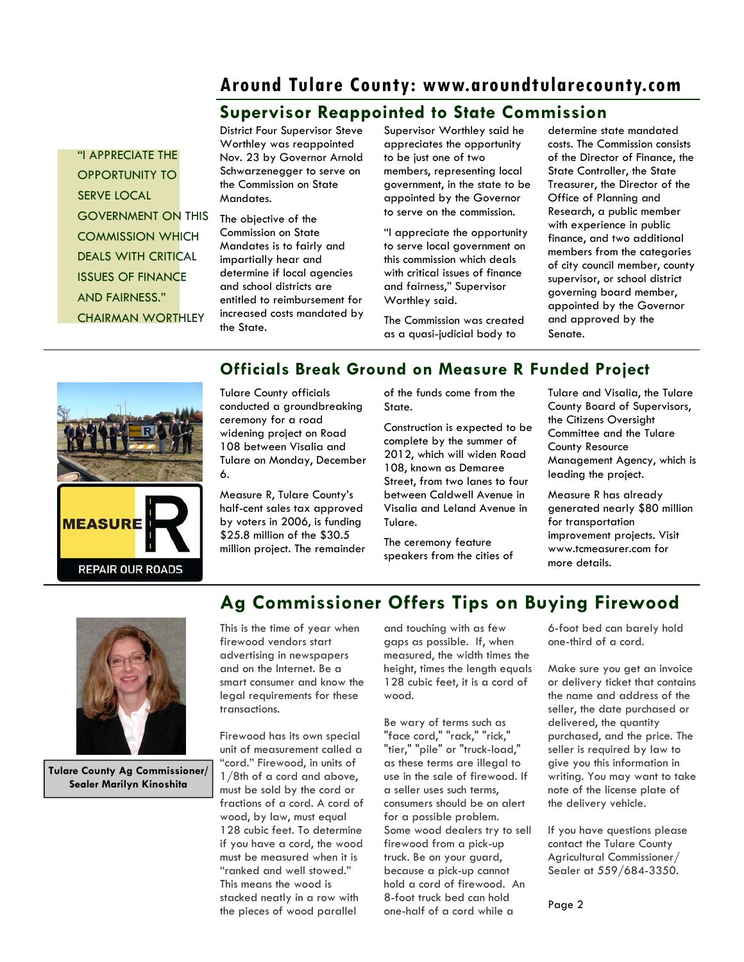### **Around Tulare County: www.aroundtularecounty.com**

### **Supervisor Reappointed to State Commission**

"I APPRECIATE THE OPPORTUNITY TO SERVE LOCAL GOVERNMENT ON THIS COMMISSION WHICH DEALS WITH CRITICAL ISSUES OF FINANCE AND FAIRNESS." CHAIRMAN WORTHLEY

District Four Supervisor Steve Worthley was reappointed Nov. 23 by Governor Arnold Schwarzenegger to serve on the Commission on State Mandates.

The objective of the Commission on State Mandates is to fairly and impartially hear and determine if local agencies and school districts are entitled to reimbursement for increased costs mandated by the State.

Supervisor Worthley said he appreciates the opportunity to be just one of two members, representing local government, in the state to be appointed by the Governor to serve on the commission.

"I appreciate the opportunity to serve local government on this commission which deals with critical issues of finance and fairness," Supervisor Worthley said.

The Commission was created as a quasi-judicial body to

determine state mandated costs. The Commission consists of the Director of Finance, the State Controller, the State Treasurer, the Director of the Office of Planning and Research, a public member with experience in public finance, and two additional members from the categories of city council member, county supervisor, or school district governing board member, appointed by the Governor and approved by the Senate.



### **Officials Break Ground on Measure R Funded Project**

Tulare County officials conducted a groundbreaking ceremony for a road widening project on Road 108 between Visalia and Tulare on Monday, December 6.

Measure R, Tulare County's half-cent sales tax approved by voters in 2006, is funding \$25.8 million of the \$30.5 million project. The remainder of the funds come from the State.

Construction is expected to be complete by the summer of 2012, which will widen Road 108, known as Demaree Street, from two lanes to four between Caldwell Avenue in Visalia and Leland Avenue in Tulare.

The ceremony feature speakers from the cities of Tulare and Visalia, the Tulare County Board of Supervisors, the Citizens Oversight Committee and the Tulare County Resource Management Agency, which is leading the project.

Measure R has already generated nearly \$80 million for transportation improvement projects. Visit www.tcmeasurer.com for more details.



**Tulare County Ag Commissioner/ Sealer Marilyn Kinoshita** 

# **Ag Commissioner Offers Tips on Buying Firewood**

This is the time of year when firewood vendors start advertising in newspapers and on the Internet. Be a smart consumer and know the legal requirements for these transactions.

Firewood has its own special unit of measurement called a "cord." Firewood, in units of 1/8th of a cord and above, must be sold by the cord or fractions of a cord. A cord of wood, by law, must equal 128 cubic feet. To determine if you have a cord, the wood must be measured when it is "ranked and well stowed." This means the wood is stacked neatly in a row with the pieces of wood parallel

and touching with as few gaps as possible. If, when measured, the width times the height, times the length equals 128 cubic feet, it is a cord of wood.

Be wary of terms such as "face cord," "rack," "rick," "tier," "pile" or "truck-load," as these terms are illegal to use in the sale of firewood. If a seller uses such terms, consumers should be on alert for a possible problem. Some wood dealers try to sell firewood from a pick-up truck. Be on your guard, because a pick-up cannot hold a cord of firewood. An 8-foot truck bed can hold one-half of a cord while a

6-foot bed can barely hold one-third of a cord.

Make sure you get an invoice or delivery ticket that contains the name and address of the seller, the date purchased or delivered, the quantity purchased, and the price. The seller is required by law to give you this information in writing. You may want to take note of the license plate of the delivery vehicle.

If you have questions please contact the Tulare County Agricultural Commissioner/ Sealer at 559/684-3350.

Page 2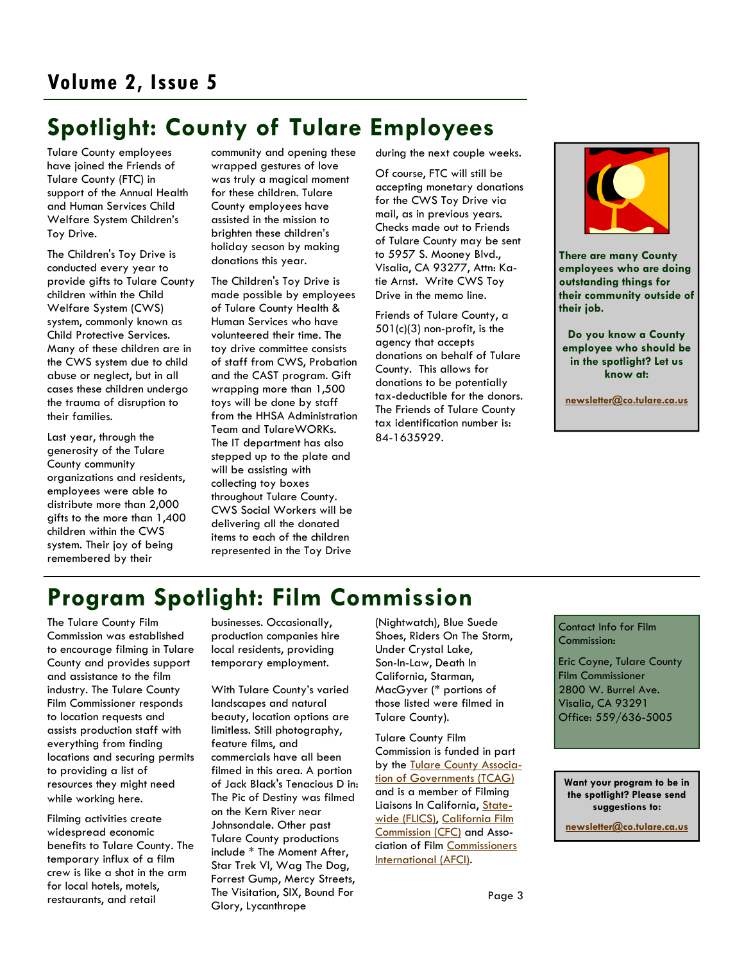# **Spotlight: County of Tulare Employees**

Tulare County employees have joined the Friends of Tulare County (FTC) in support of the Annual Health and Human Services Child Welfare System Children's Toy Drive.

The Children's Toy Drive is conducted every year to provide gifts to Tulare County children within the Child Welfare System (CWS) system, commonly known as Child Protective Services. Many of these children are in the CWS system due to child abuse or neglect, but in all cases these children undergo the trauma of disruption to their families.

Last year, through the generosity of the Tulare County community organizations and residents, employees were able to distribute more than 2,000 gifts to the more than 1,400 children within the CWS system. Their joy of being remembered by their

community and opening these wrapped gestures of love was truly a magical moment for these children. Tulare County employees have assisted in the mission to brighten these children's holiday season by making donations this year.

The Children's Toy Drive is made possible by employees of Tulare County Health & Human Services who have volunteered their time. The toy drive committee consists of staff from CWS, Probation and the CAST program. Gift wrapping more than 1,500 toys will be done by staff from the HHSA Administration Team and TulareWORKs. The IT department has also stepped up to the plate and will be assisting with collecting toy boxes throughout Tulare County. CWS Social Workers will be delivering all the donated items to each of the children represented in the Toy Drive

during the next couple weeks.

Of course, FTC will still be accepting monetary donations for the CWS Toy Drive via mail, as in previous years. Checks made out to Friends of Tulare County may be sent to 5957 S. Mooney Blvd., Visalia, CA 93277, Attn: Katie Arnst. Write CWS Toy Drive in the memo line.

Friends of Tulare County, a 501(c)(3) non-profit, is the agency that accepts donations on behalf of Tulare County. This allows for donations to be potentially tax-deductible for the donors. The Friends of Tulare County tax identification number is: 84-1635929.



**There are many County employees who are doing outstanding things for their community outside of their job.** 

**Do you know a County employee who should be in the spotlight? Let us know at:** 

**newsletter@co.tulare.ca.us**

# **Program Spotlight: Film Commission**

The Tulare County Film Commission was established to encourage filming in Tulare County and provides support and assistance to the film industry. The Tulare County Film Commissioner responds to location requests and assists production staff with everything from finding locations and securing permits to providing a list of resources they might need while working here.

Filming activities create widespread economic benefits to Tulare County. The temporary influx of a film crew is like a shot in the arm for local hotels, motels, restaurants, and retail

businesses. Occasionally, production companies hire local residents, providing temporary employment.

With Tulare County's varied landscapes and natural beauty, location options are limitless. Still photography, feature films, and commercials have all been filmed in this area. A portion of Jack Black's Tenacious D in: The Pic of Destiny was filmed on the Kern River near Johnsondale. Other past Tulare County productions include \* The Moment After, Star Trek VI, Wag The Dog, Forrest Gump, Mercy Streets, The Visitation, SIX, Bound For Glory, Lycanthrope

(Nightwatch), Blue Suede Shoes, Riders On The Storm, Under Crystal Lake, Son-In-Law, Death In California, Starman, MacGyver (\* portions of those listed were filmed in Tulare County).

Tulare County Film Commission is funded in part by the Tulare County Association of Governments (TCAG) and is a member of Filming Liaisons In California, Statewide (FLICS), California Film Commission (CFC) and Association of Film Commissioners International (AFCI).

### Contact Info for Film Commission:

Eric Coyne, Tulare County Film Commissioner 2800 W. Burrel Ave. Visalia, CA 93291 Office: 559/636-5005

**Want your program to be in the spotlight? Please send suggestions to:** 

**newsletter@co.tulare.ca.us**